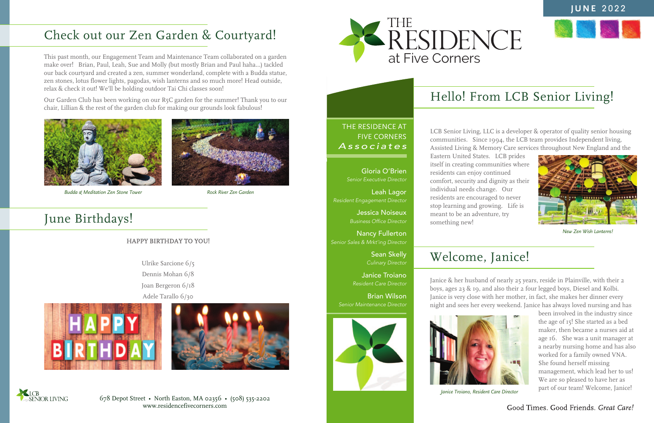678 Depot Street • North Easton, MA 02356 • (508) 535-2202 www.residencefivecorners.com

# Hello! From LCB Senior Living!

# Welcome, Janice!

THE RESIDENCE AT FIVE CORNERS *Associates*

#### **JUNE** 2022



LCB Senior Living, LLC is a developer & operator of quality senior housing communities. Since 1994, the LCB team provides Independent living, Assisted Living & Memory Care services throughout New England and the

Eastern United States. LCB prides itself in creating communities where residents can enjoy continued comfort, security and dignity as their individual needs change. Our residents are encouraged to never stop learning and growing. Life is meant to be an adventure, try something new!

Janice & her husband of nearly 25 years, reside in Plainville, with their 2 boys, ages 23 & 19, and also their 2 four legged boys, Diesel and Kolbi. Janice is very close with her mother, in fact, she makes her dinner every night and sees her every weekend. Janice has always loved nursing and has

been involved in the industry since the age of 15! She started as a bed maker, then became a nurses aid at age 16. She was a unit manager at a nearby nursing home and has also worked for a family owned VNA. She found herself missing management, which lead her to us! We are so pleased to have her as part of our team! Welcome, Janice!

#### Good Times. Good Friends. Great Care!

# Check out our Zen Garden & Courtyard!

### June Birthdays!

This past month, our Engagement Team and Maintenance Team collaborated on a garden make over! Brian, Paul, Leah, Sue and Molly (but mostly Brian and Paul haha...) tackled our back courtyard and created a zen, summer wonderland, complete with a Budda statue, zen stones, lotus flower lights, pagodas, wish lanterns and so much more! Head outside, relax & check it out! We'll be holding outdoor Tai Chi classes soon!

Our Garden Club has been working on our R5C garden for the summer! Thank you to our chair, Lillian & the rest of the garden club for making our grounds look fabulous!

#### HAPPY BIRTHDAY TO YOU!

Ulrike Sarcione 6/5 Dennis Mohan 6/8 Joan Bergeron 6/18 Adele Tarallo 6/30







Gloria O'Brien *Senior Executive Director*

Leah Lagor *Resident Engagement Director*

> Jessica Noiseux *Business Office Director*

Nancy Fullerton *Senior Sales & Mrkt'ing Director*

> Sean Skelly *Culinary Director*

Janice Troiano *Resident Care Director*

Brian Wilson *Senior Maintenance Director*





*New Zen Wish Lanterns!*



*Janice Troiano, Resident Care Director*



*Budda & Meditation Zen Stone Tower Rock River Zen Garden*